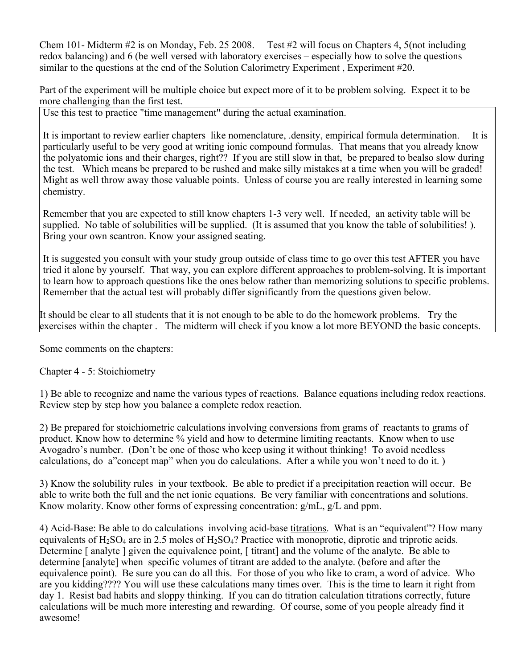Chem 101- Midterm #2 is on Monday, Feb. 25 2008. Test #2 will focus on Chapters 4, 5(not including redox balancing) and 6 (be well versed with laboratory exercises – especially how to solve the questions similar to the questions at the end of the Solution Calorimetry Experiment , Experiment #20.

Part of the experiment will be multiple choice but expect more of it to be problem solving. Expect it to be more challenging than the first test.

Use this test to practice "time management" during the actual examination.

It is important to review earlier chapters like nomenclature, .density, empirical formula determination. It is particularly useful to be very good at writing ionic compound formulas. That means that you already know the polyatomic ions and their charges, right?? If you are still slow in that, be prepared to bealso slow during the test. Which means be prepared to be rushed and make silly mistakes at a time when you will be graded! Might as well throw away those valuable points. Unless of course you are really interested in learning some chemistry.

Remember that you are expected to still know chapters 1-3 very well. If needed, an activity table will be supplied. No table of solubilities will be supplied. (It is assumed that you know the table of solubilities! ). Bring your own scantron. Know your assigned seating.

It is suggested you consult with your study group outside of class time to go over this test AFTER you have tried it alone by yourself. That way, you can explore different approaches to problem-solving. It is important to learn how to approach questions like the ones below rather than memorizing solutions to specific problems. Remember that the actual test will probably differ significantly from the questions given below.

It should be clear to all students that it is not enough to be able to do the homework problems. Try the exercises within the chapter. The midterm will check if you know a lot more BEYOND the basic concepts.

Some comments on the chapters:

Chapter 4 - 5: Stoichiometry

1) Be able to recognize and name the various types of reactions. Balance equations including redox reactions. Review step by step how you balance a complete redox reaction.

2) Be prepared for stoichiometric calculations involving conversions from grams of reactants to grams of product. Know how to determine % yield and how to determine limiting reactants. Know when to use Avogadro's number. (Don't be one of those who keep using it without thinking! To avoid needless calculations, do a"concept map" when you do calculations. After a while you won't need to do it. )

3) Know the solubility rules in your textbook. Be able to predict if a precipitation reaction will occur. Be able to write both the full and the net ionic equations. Be very familiar with concentrations and solutions. Know molarity. Know other forms of expressing concentration: g/mL, g/L and ppm.

4) Acid-Base: Be able to do calculations involving acid-base titrations. What is an "equivalent"? How many equivalents of  $H_2SO_4$  are in 2.5 moles of  $H_2SO_4$ ? Practice with monoprotic, diprotic and triprotic acids. Determine [ analyte ] given the equivalence point, [ titrant] and the volume of the analyte. Be able to determine [analyte] when specific volumes of titrant are added to the analyte. (before and after the equivalence point). Be sure you can do all this. For those of you who like to cram, a word of advice. Who are you kidding???? You will use these calculations many times over. This is the time to learn it right from day 1. Resist bad habits and sloppy thinking. If you can do titration calculation titrations correctly, future calculations will be much more interesting and rewarding. Of course, some of you people already find it awesome!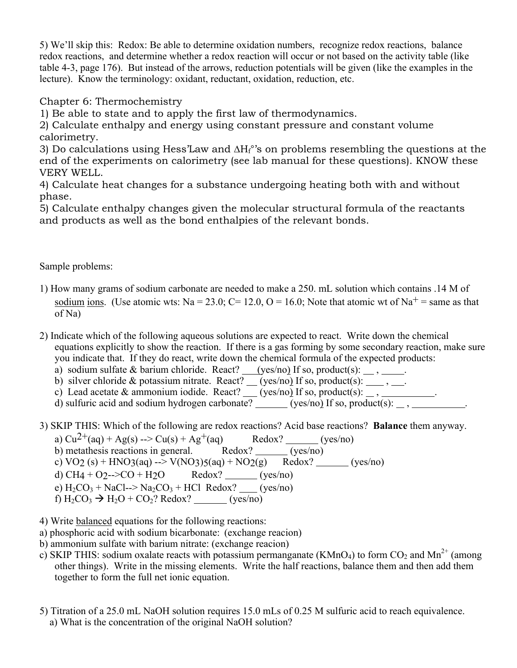5) We'll skip this: Redox: Be able to determine oxidation numbers, recognize redox reactions, balance redox reactions, and determine whether a redox reaction will occur or not based on the activity table (like table 4-3, page 176). But instead of the arrows, reduction potentials will be given (like the examples in the lecture). Know the terminology: oxidant, reductant, oxidation, reduction, etc.

Chapter 6: Thermochemistry

1) Be able to state and to apply the first law of thermodynamics.

2) Calculate enthalpy and energy using constant pressure and constant volume calorimetry.

3) Do calculations using Hess'Law and ∆H<sub>f</sub>°'s on problems resembling the questions at the end of the experiments on calorimetry (see lab manual for these questions). KNOW these VERY WELL.

4) Calculate heat changes for a substance undergoing heating both with and without phase.

5) Calculate enthalpy changes given the molecular structural formula of the reactants and products as well as the bond enthalpies of the relevant bonds.

Sample problems:

- 1) How many grams of sodium carbonate are needed to make a 250. mL solution which contains .14 M of sodium ions. (Use atomic wts: Na = 23.0; C= 12.0, O = 16.0; Note that atomic wt of Na<sup>+</sup> = same as that of Na)
- 2) Indicate which of the following aqueous solutions are expected to react. Write down the chemical equations explicitly to show the reaction. If there is a gas forming by some secondary reaction, make sure you indicate that. If they do react, write down the chemical formula of the expected products:
	- a) sodium sulfate & barium chloride. React? (yes/no) If so, product(s):  $\frac{1}{\sqrt{2}}$ ,  $\frac{1}{\sqrt{2}}$ .
	- b) silver chloride & potassium nitrate. React?  $(yes/no)$  If so, product(s):  $\ldots$ ,  $\ldots$ .

c) Lead acetate & ammonium iodide. React?  $\frac{1}{\sqrt{(y-s/no)}}$  If so, product(s):  $\frac{1}{\sqrt{(y-s/no)}}$ .

d) sulfuric acid and sodium hydrogen carbonate?  $(yes/no)$  If so, product(s):  $\_\_$ ,  $\_\_$ 

3) SKIP THIS: Which of the following are redox reactions? Acid base reactions? **Balance** them anyway.

- a)  $Cu^{2+}(aq) + Ag(s) \rightarrow Cu(s) + Ag^{+}(aq)$  Redox? (yes/no) b) metathesis reactions in general. Redox?  $(ves/no)$ c)  $\text{VO2 (s)} + \text{HNO3(aq)} -\text{VNO3)}5(aq) + \text{NO2(g)}$  Redox? (yes/no) d) CH4 + O2-->CO + H<sub>2</sub>O Redox? (yes/no) e)  $H_2CO_3 + NaCl \rightarrow Na_2CO_3 + HCl$  Redox? (yes/no) f)  $H_2CO_3 \rightarrow H_2O + CO_2$ ? Redox? (yes/no)
- 4) Write balanced equations for the following reactions:
- a) phosphoric acid with sodium bicarbonate: (exchange reacion)
- b) ammonium sulfate with barium nitrate: (exchange reacion)
- c) SKIP THIS: sodium oxalate reacts with potassium permanganate (KMnO<sub>4</sub>) to form CO<sub>2</sub> and Mn<sup>2+</sup> (among other things). Write in the missing elements. Write the half reactions, balance them and then add them together to form the full net ionic equation.
- 5) Titration of a 25.0 mL NaOH solution requires 15.0 mLs of 0.25 M sulfuric acid to reach equivalence. a) What is the concentration of the original NaOH solution?